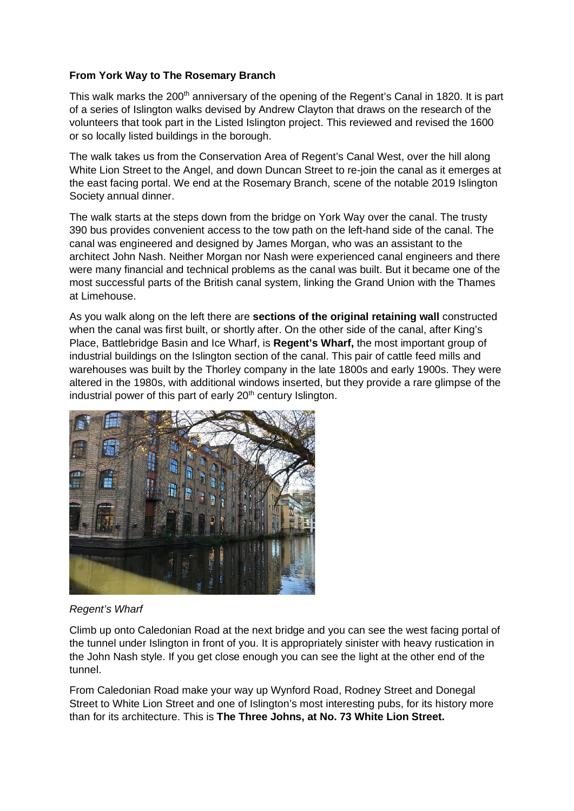## **From York Way to The Rosemary Branch**

This walk marks the 200<sup>th</sup> anniversary of the opening of the Regent's Canal in 1820. It is part of a series of Islington walks devised by Andrew Clayton that draws on the research of the volunteers that took part in the Listed Islington project. This reviewed and revised the 1600 or so locally listed buildings in the borough.

The walk takes us from the Conservation Area of Regent's Canal West, over the hill along White Lion Street to the Angel, and down Duncan Street to re-join the canal as it emerges at the east facing portal. We end at the Rosemary Branch, scene of the notable 2019 Islington Society annual dinner.

The walk starts at the steps down from the bridge on York Way over the canal. The trusty 390 bus provides convenient access to the tow path on the left-hand side of the canal. The canal was engineered and designed by James Morgan, who was an assistant to the architect John Nash. Neither Morgan nor Nash were experienced canal engineers and there were many financial and technical problems as the canal was built. But it became one of the most successful parts of the British canal system, linking the Grand Union with the Thames at Limehouse.

As you walk along on the left there are **sections of the original retaining wall** constructed when the canal was first built, or shortly after. On the other side of the canal, after King's Place, Battlebridge Basin and Ice Wharf, is **Regent's Wharf,** the most important group of industrial buildings on the Islington section of the canal. This pair of cattle feed mills and warehouses was built by the Thorley company in the late 1800s and early 1900s. They were altered in the 1980s, with additional windows inserted, but they provide a rare glimpse of the industrial power of this part of early  $20<sup>th</sup>$  century Islington.



## *Regent's Wharf*

Climb up onto Caledonian Road at the next bridge and you can see the west facing portal of the tunnel under Islington in front of you. It is appropriately sinister with heavy rustication in the John Nash style. If you get close enough you can see the light at the other end of the tunnel.

From Caledonian Road make your way up Wynford Road, Rodney Street and Donegal Street to White Lion Street and one of Islington's most interesting pubs, for its history more than for its architecture. This is **The Three Johns, at No. 73 White Lion Street.**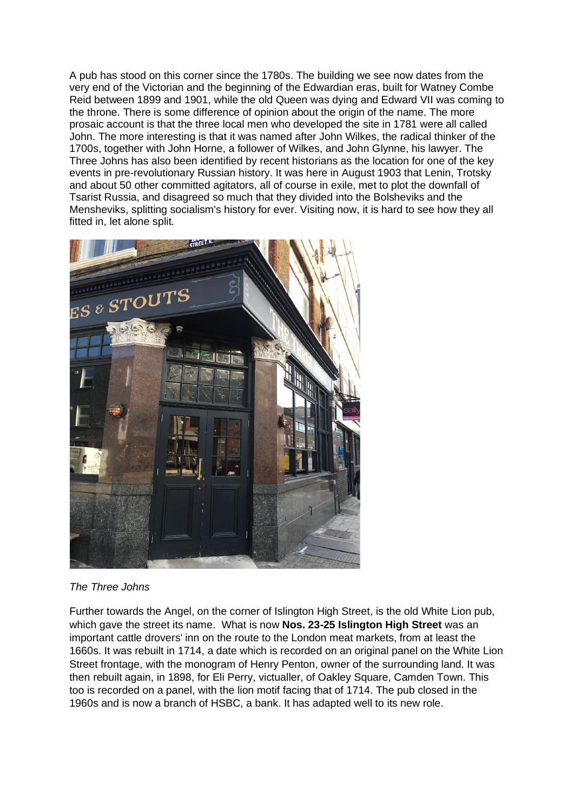A pub has stood on this corner since the 1780s. The building we see now dates from the very end of the Victorian and the beginning of the Edwardian eras, built for Watney Combe Reid between 1899 and 1901, while the old Queen was dying and Edward VII was coming to the throne. There is some difference of opinion about the origin of the name. The more prosaic account is that the three local men who developed the site in 1781 were all called John. The more interesting is that it was named after John Wilkes, the radical thinker of the 1700s, together with John Horne, a follower of Wilkes, and John Glynne, his lawyer. The Three Johns has also been identified by recent historians as the location for one of the key events in pre-revolutionary Russian history. It was here in August 1903 that Lenin, Trotsky and about 50 other committed agitators, all of course in exile, met to plot the downfall of Tsarist Russia, and disagreed so much that they divided into the Bolsheviks and the Mensheviks, splitting socialism's history for ever. Visiting now, it is hard to see how they all fitted in, let alone split.



*The Three Johns*

Further towards the Angel, on the corner of Islington High Street, is the old White Lion pub, which gave the street its name. What is now **Nos. 23-25 Islington High Street** was an important cattle drovers' inn on the route to the London meat markets, from at least the 1660s. It was rebuilt in 1714, a date which is recorded on an original panel on the White Lion Street frontage, with the monogram of Henry Penton, owner of the surrounding land. It was then rebuilt again, in 1898, for Eli Perry, victualler, of Oakley Square, Camden Town. This too is recorded on a panel, with the lion motif facing that of 1714. The pub closed in the 1960s and is now a branch of HSBC, a bank. It has adapted well to its new role.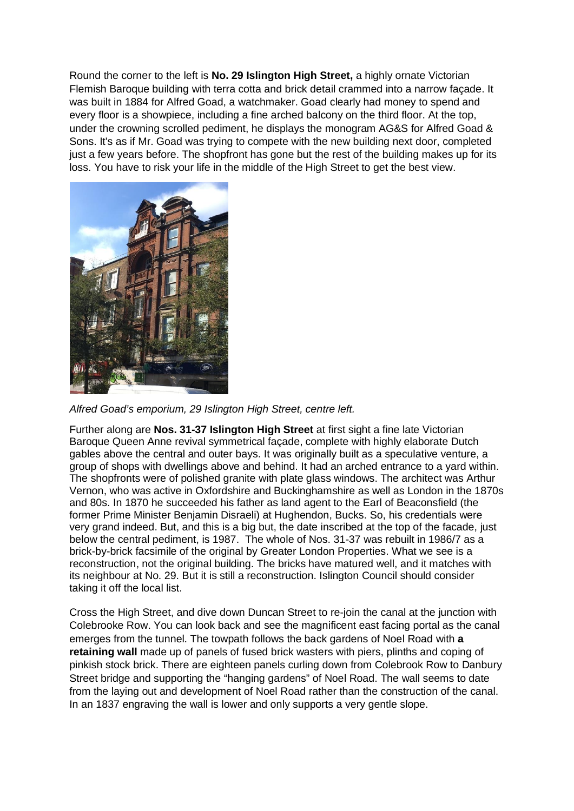Round the corner to the left is **No. 29 Islington High Street,** a highly ornate Victorian Flemish Baroque building with terra cotta and brick detail crammed into a narrow façade. It was built in 1884 for Alfred Goad, a watchmaker. Goad clearly had money to spend and every floor is a showpiece, including a fine arched balcony on the third floor. At the top, under the crowning scrolled pediment, he displays the monogram AG&S for Alfred Goad & Sons. It's as if Mr. Goad was trying to compete with the new building next door, completed just a few years before. The shopfront has gone but the rest of the building makes up for its loss. You have to risk your life in the middle of the High Street to get the best view.



*Alfred Goad's emporium, 29 Islington High Street, centre left.*

Further along are **Nos. 31-37 Islington High Street** at first sight a fine late Victorian Baroque Queen Anne revival symmetrical façade, complete with highly elaborate Dutch gables above the central and outer bays. It was originally built as a speculative venture, a group of shops with dwellings above and behind. It had an arched entrance to a yard within. The shopfronts were of polished granite with plate glass windows. The architect was Arthur Vernon, who was active in Oxfordshire and Buckinghamshire as well as London in the 1870s and 80s. In 1870 he succeeded his father as land agent to the Earl of Beaconsfield (the former Prime Minister Benjamin Disraeli) at Hughendon, Bucks. So, his credentials were very grand indeed. But, and this is a big but, the date inscribed at the top of the facade, just below the central pediment, is 1987. The whole of Nos. 31-37 was rebuilt in 1986/7 as a brick-by-brick facsimile of the original by Greater London Properties. What we see is a reconstruction, not the original building. The bricks have matured well, and it matches with its neighbour at No. 29. But it is still a reconstruction. Islington Council should consider taking it off the local list.

Cross the High Street, and dive down Duncan Street to re-join the canal at the junction with Colebrooke Row. You can look back and see the magnificent east facing portal as the canal emerges from the tunnel. The towpath follows the back gardens of Noel Road with **a retaining wall** made up of panels of fused brick wasters with piers, plinths and coping of pinkish stock brick. There are eighteen panels curling down from Colebrook Row to Danbury Street bridge and supporting the "hanging gardens" of Noel Road. The wall seems to date from the laying out and development of Noel Road rather than the construction of the canal. In an 1837 engraving the wall is lower and only supports a very gentle slope.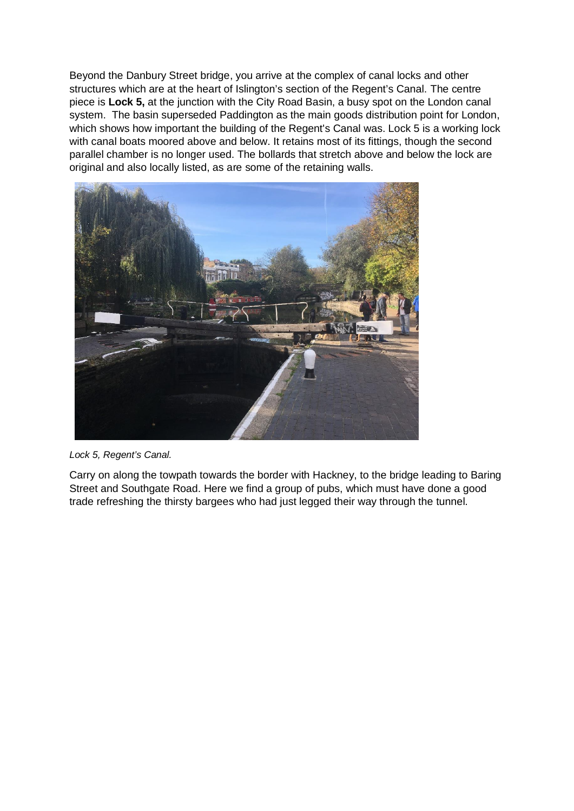Beyond the Danbury Street bridge, you arrive at the complex of canal locks and other structures which are at the heart of Islington's section of the Regent's Canal. The centre piece is **Lock 5,** at the junction with the City Road Basin, a busy spot on the London canal system. The basin superseded Paddington as the main goods distribution point for London, which shows how important the building of the Regent's Canal was. Lock 5 is a working lock with canal boats moored above and below. It retains most of its fittings, though the second parallel chamber is no longer used. The bollards that stretch above and below the lock are original and also locally listed, as are some of the retaining walls.



*Lock 5, Regent's Canal.*

Carry on along the towpath towards the border with Hackney, to the bridge leading to Baring Street and Southgate Road. Here we find a group of pubs, which must have done a good trade refreshing the thirsty bargees who had just legged their way through the tunnel.